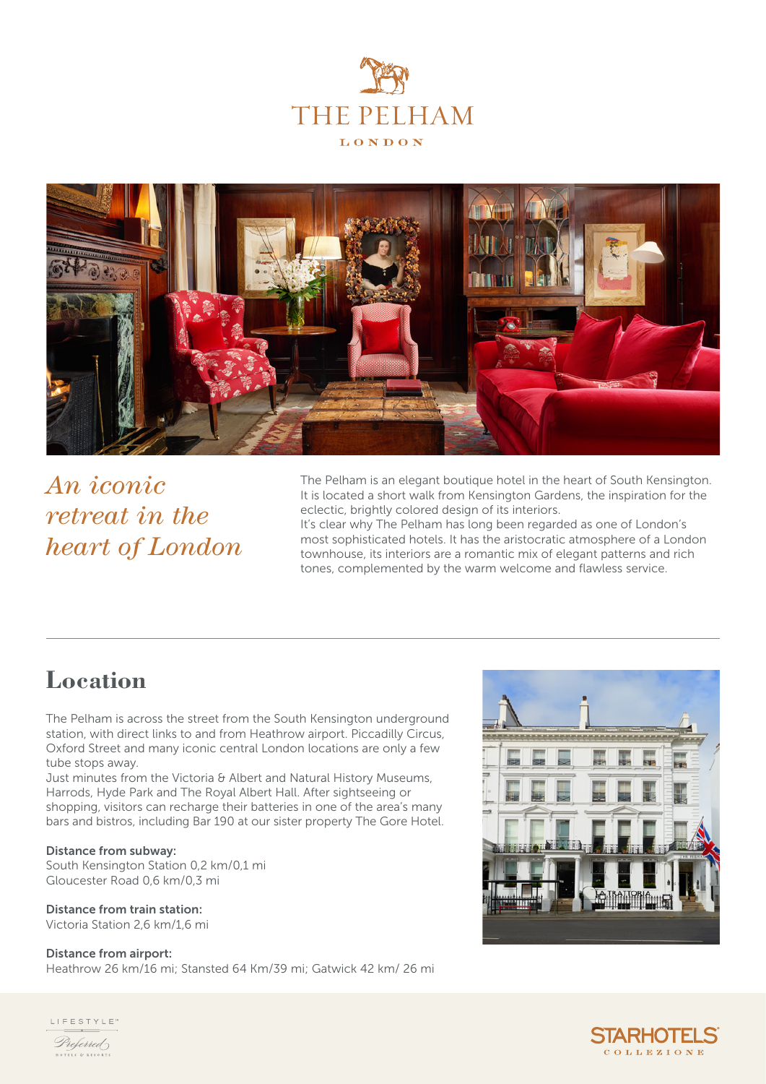



*An iconic retreat in the heart of London*

The Pelham is an elegant boutique hotel in the heart of South Kensington. It is located a short walk from Kensington Gardens, the inspiration for the eclectic, brightly colored design of its interiors. It's clear why The Pelham has long been regarded as one of London's most sophisticated hotels. It has the aristocratic atmosphere of a London townhouse, its interiors are a romantic mix of elegant patterns and rich

tones, complemented by the warm welcome and flawless service.

# **Location**

The Pelham is across the street from the South Kensington underground station, with direct links to and from Heathrow airport. Piccadilly Circus, Oxford Street and many iconic central London locations are only a few tube stops away.

Just minutes from the Victoria & Albert and Natural History Museums, Harrods, Hyde Park and The Royal Albert Hall. After sightseeing or shopping, visitors can recharge their batteries in one of the area's many bars and bistros, including Bar 190 at our sister property The Gore Hotel.

#### Distance from subway:

South Kensington Station 0,2 km/0,1 mi Gloucester Road 0,6 km/0,3 mi

#### Distance from train station:

Victoria Station 2,6 km/1,6 mi

#### Distance from airport:

Heathrow 26 km/16 mi; Stansted 64 Km/39 mi; Gatwick 42 km/ 26 mi





LIFESTYLE<sup>®</sup> Preferred